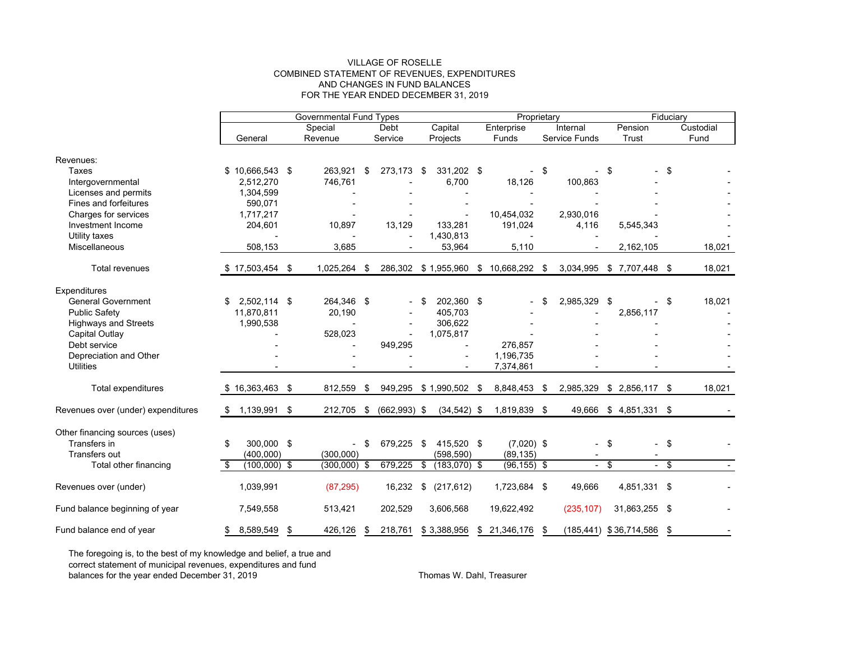#### VILLAGE OF ROSELLE COMBINED STATEMENT OF REVENUES, EXPENDITURES AND CHANGES IN FUND BALANCESFOR THE YEAR ENDED DECEMBER 31, 2019

|                                               | Governmental Fund Types |     |                          | Proprietary |                |     | Fiduciary       |  |                  |     |               |    |                           |      |           |  |
|-----------------------------------------------|-------------------------|-----|--------------------------|-------------|----------------|-----|-----------------|--|------------------|-----|---------------|----|---------------------------|------|-----------|--|
|                                               |                         |     | Special                  |             | Debt           |     | Capital         |  | Enterprise       |     | Internal      |    | Pension                   |      | Custodial |  |
|                                               | General                 |     | Revenue                  |             | Service        |     | Projects        |  | Funds            |     | Service Funds |    | Trust                     |      | Fund      |  |
| Revenues:                                     |                         |     |                          |             |                |     |                 |  |                  |     |               |    |                           |      |           |  |
| Taxes                                         | $$10,666,543$ \$        |     | 263,921                  | \$          | 273,173        | -\$ | 331,202 \$      |  |                  | \$  |               | \$ |                           | \$   |           |  |
| Intergovernmental                             | 2,512,270               |     | 746,761                  |             |                |     | 6,700           |  | 18,126           |     | 100,863       |    |                           |      |           |  |
| Licenses and permits                          | 1,304,599               |     |                          |             |                |     |                 |  |                  |     |               |    |                           |      |           |  |
| Fines and forfeitures                         | 590,071                 |     |                          |             |                |     |                 |  |                  |     |               |    |                           |      |           |  |
| Charges for services                          | 1,717,217               |     |                          |             |                |     |                 |  | 10,454,032       |     | 2,930,016     |    |                           |      |           |  |
| Investment Income                             | 204,601                 |     | 10,897                   |             | 13,129         |     | 133.281         |  | 191,024          |     | 4,116         |    | 5,545,343                 |      |           |  |
| Utility taxes                                 |                         |     |                          |             |                |     | 1,430,813       |  |                  |     |               |    |                           |      |           |  |
| <b>Miscellaneous</b>                          | 508,153                 |     | 3,685                    |             |                |     | 53,964          |  | 5,110            |     |               |    | 2,162,105                 |      | 18,021    |  |
| <b>Total revenues</b>                         | $$17,503,454$ \$        |     | 1,025,264                | - \$        | 286,302        |     | \$1,955,960     |  | $$10,668,292$ \$ |     |               |    | 3,034,995 \$ 7,707,448 \$ |      | 18,021    |  |
| Expenditures                                  |                         |     |                          |             |                |     |                 |  |                  |     |               |    |                           |      |           |  |
| <b>General Government</b>                     | 2,502,114 \$            |     | 264,346 \$               |             |                | \$  | 202,360 \$      |  |                  |     | 2,985,329 \$  |    |                           | \$   | 18,021    |  |
| <b>Public Safety</b>                          | 11,870,811              |     | 20,190                   |             |                |     | 405,703         |  |                  |     |               |    | 2,856,117                 |      |           |  |
|                                               | 1,990,538               |     |                          |             |                |     | 306,622         |  |                  |     |               |    |                           |      |           |  |
| <b>Highways and Streets</b><br>Capital Outlay |                         |     | 528,023                  |             |                |     | 1,075,817       |  |                  |     |               |    |                           |      |           |  |
| Debt service                                  |                         |     |                          |             |                |     |                 |  |                  |     |               |    |                           |      |           |  |
|                                               |                         |     |                          |             | 949,295        |     |                 |  | 276,857          |     |               |    |                           |      |           |  |
| Depreciation and Other                        |                         |     |                          |             |                |     |                 |  | 1,196,735        |     |               |    |                           |      |           |  |
| <b>Utilities</b>                              |                         |     |                          |             |                |     |                 |  | 7,374,861        |     |               |    |                           |      |           |  |
| <b>Total expenditures</b>                     | \$16,363,463            | -\$ | 812,559                  | \$          | 949,295        |     | $$1,990,502$ \$ |  | 8,848,453        | \$  | 2,985,329     |    | $$2,856,117$ \;           |      | 18,021    |  |
| Revenues over (under) expenditures            | 1,139,991 \$<br>S.      |     | 212,705                  | \$          | $(662,993)$ \$ |     | $(34, 542)$ \$  |  | 1,819,839        | -\$ | 49,666        |    | $$4,851,331$ \$           |      |           |  |
| Other financing sources (uses)                |                         |     |                          |             |                |     |                 |  |                  |     |               |    |                           |      |           |  |
| Transfers in                                  | 300,000 \$<br>\$        |     | $\overline{\phantom{0}}$ | - \$        | 679,225 \$     |     | 415,520 \$      |  | $(7,020)$ \$     |     |               | \$ | $\overline{\phantom{0}}$  | -\$  |           |  |
| Transfers out                                 | (400,000)               |     | (300,000)                |             |                |     | (598, 590)      |  |                  |     |               |    |                           |      |           |  |
|                                               |                         |     |                          |             |                |     |                 |  | (89, 135)        |     | $\sim$        | \$ | $\sim$                    | - \$ |           |  |
| Total other financing                         | \$<br>$(100,000)$ \$    |     | $(300,000)$ \$           |             | 679,225        | \$  | $(183,070)$ \$  |  | $(96, 155)$ \$   |     | $\sim$        |    | $\sim$                    |      |           |  |
| Revenues over (under)                         | 1,039,991               |     | (87, 295)                |             | 16,232         | \$  | (217, 612)      |  | 1,723,684 \$     |     | 49,666        |    | 4,851,331 \$              |      |           |  |
| Fund balance beginning of year                | 7,549,558               |     | 513,421                  |             | 202,529        |     | 3,606,568       |  | 19,622,492       |     | (235, 107)    |    | 31,863,255 \$             |      |           |  |
| Fund balance end of year                      | 8,589,549<br>\$         | \$  | 426,126                  | \$          | 218,761        |     | \$3,388,956     |  | \$ 21,346,176    | \$  |               |    | (185,441) \$36,714,586    | \$   |           |  |

The foregoing is, to the best of my knowledge and belief, a true and correct statement of municipal revenues, expenditures and fund balances for the year ended December 31, 2019 Thomas W. Dahl, Treasurer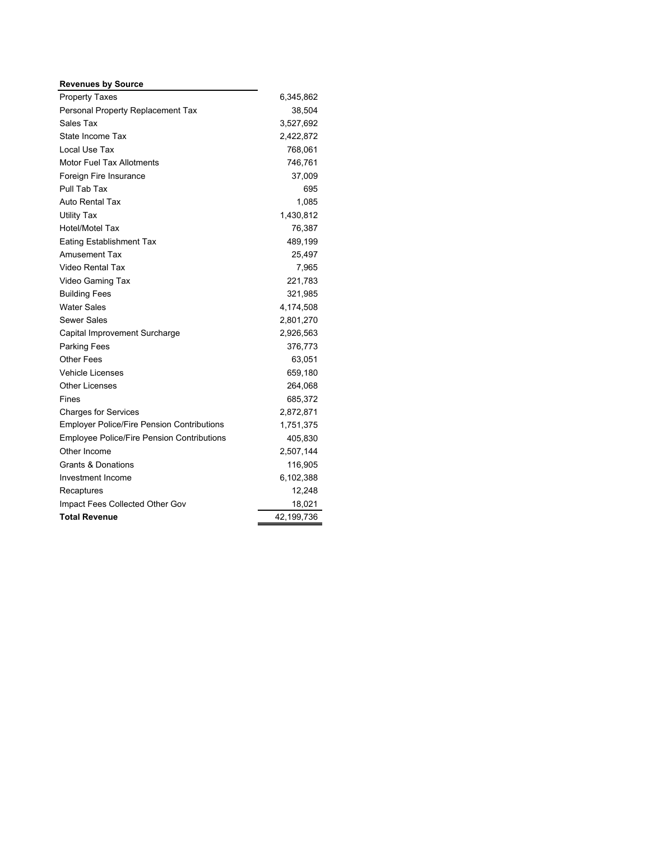| <b>Revenues by Source</b>                         |            |  |  |  |  |
|---------------------------------------------------|------------|--|--|--|--|
| <b>Property Taxes</b>                             | 6,345,862  |  |  |  |  |
| Personal Property Replacement Tax                 | 38,504     |  |  |  |  |
| Sales Tax                                         | 3,527,692  |  |  |  |  |
| State Income Tax                                  | 2,422,872  |  |  |  |  |
| Local Use Tax                                     | 768,061    |  |  |  |  |
| Motor Fuel Tax Allotments                         | 746,761    |  |  |  |  |
| Foreign Fire Insurance                            | 37,009     |  |  |  |  |
| Pull Tab Tax                                      | 695        |  |  |  |  |
| Auto Rental Tax                                   | 1,085      |  |  |  |  |
| <b>Utility Tax</b>                                | 1,430,812  |  |  |  |  |
| Hotel/Motel Tax                                   | 76,387     |  |  |  |  |
| <b>Eating Establishment Tax</b>                   | 489,199    |  |  |  |  |
| <b>Amusement Tax</b>                              | 25,497     |  |  |  |  |
| Video Rental Tax                                  | 7,965      |  |  |  |  |
| Video Gaming Tax                                  | 221,783    |  |  |  |  |
| <b>Building Fees</b>                              | 321,985    |  |  |  |  |
| <b>Water Sales</b>                                | 4,174,508  |  |  |  |  |
| Sewer Sales                                       | 2,801,270  |  |  |  |  |
| Capital Improvement Surcharge                     | 2,926,563  |  |  |  |  |
| <b>Parking Fees</b>                               | 376,773    |  |  |  |  |
| <b>Other Fees</b>                                 | 63,051     |  |  |  |  |
| <b>Vehicle Licenses</b>                           | 659,180    |  |  |  |  |
| <b>Other Licenses</b>                             | 264,068    |  |  |  |  |
| Fines                                             | 685,372    |  |  |  |  |
| <b>Charges for Services</b>                       | 2,872,871  |  |  |  |  |
| <b>Employer Police/Fire Pension Contributions</b> | 1,751,375  |  |  |  |  |
| <b>Employee Police/Fire Pension Contributions</b> | 405,830    |  |  |  |  |
| Other Income                                      | 2,507,144  |  |  |  |  |
| <b>Grants &amp; Donations</b>                     | 116,905    |  |  |  |  |
| <b>Investment Income</b>                          | 6,102,388  |  |  |  |  |
| Recaptures                                        | 12,248     |  |  |  |  |
| Impact Fees Collected Other Gov                   | 18,021     |  |  |  |  |
| <b>Total Revenue</b>                              | 42,199,736 |  |  |  |  |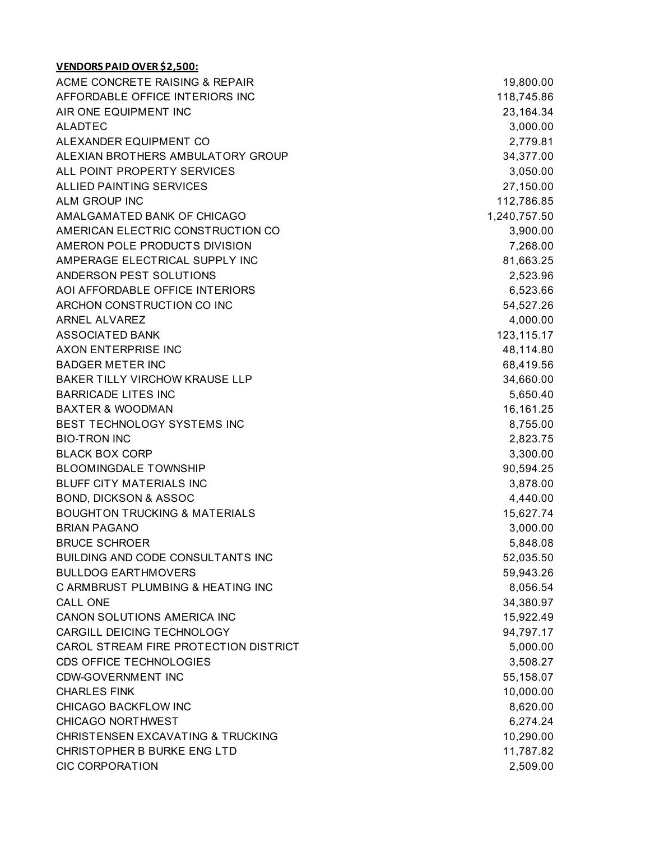| ACME CONCRETE RAISING & REPAIR               | 19,800.00    |
|----------------------------------------------|--------------|
| AFFORDABLE OFFICE INTERIORS INC              | 118,745.86   |
| AIR ONE EQUIPMENT INC                        | 23,164.34    |
| <b>ALADTEC</b>                               | 3,000.00     |
| ALEXANDER EQUIPMENT CO                       | 2,779.81     |
| ALEXIAN BROTHERS AMBULATORY GROUP            | 34,377.00    |
| ALL POINT PROPERTY SERVICES                  | 3,050.00     |
| ALLIED PAINTING SERVICES                     | 27,150.00    |
| ALM GROUP INC                                | 112,786.85   |
| AMALGAMATED BANK OF CHICAGO                  | 1,240,757.50 |
| AMERICAN ELECTRIC CONSTRUCTION CO            | 3,900.00     |
| AMERON POLE PRODUCTS DIVISION                | 7,268.00     |
| AMPERAGE ELECTRICAL SUPPLY INC               | 81,663.25    |
| ANDERSON PEST SOLUTIONS                      | 2,523.96     |
| AOI AFFORDABLE OFFICE INTERIORS              | 6,523.66     |
| ARCHON CONSTRUCTION CO INC                   | 54,527.26    |
| <b>ARNEL ALVAREZ</b>                         | 4,000.00     |
| <b>ASSOCIATED BANK</b>                       | 123,115.17   |
| AXON ENTERPRISE INC                          | 48,114.80    |
| <b>BADGER METER INC</b>                      | 68,419.56    |
| BAKER TILLY VIRCHOW KRAUSE LLP               | 34,660.00    |
| <b>BARRICADE LITES INC</b>                   | 5,650.40     |
| <b>BAXTER &amp; WOODMAN</b>                  | 16,161.25    |
| BEST TECHNOLOGY SYSTEMS INC                  | 8,755.00     |
| <b>BIO-TRON INC</b>                          | 2,823.75     |
| <b>BLACK BOX CORP</b>                        | 3,300.00     |
| <b>BLOOMINGDALE TOWNSHIP</b>                 | 90,594.25    |
| <b>BLUFF CITY MATERIALS INC</b>              | 3,878.00     |
| <b>BOND, DICKSON &amp; ASSOC</b>             | 4,440.00     |
| <b>BOUGHTON TRUCKING &amp; MATERIALS</b>     | 15,627.74    |
| <b>BRIAN PAGANO</b>                          | 3,000.00     |
| <b>BRUCE SCHROER</b>                         | 5,848.08     |
| BUILDING AND CODE CONSULTANTS INC            | 52,035.50    |
| <b>BULLDOG EARTHMOVERS</b>                   | 59,943.26    |
| C ARMBRUST PLUMBING & HEATING INC            | 8,056.54     |
| CALL ONE                                     | 34,380.97    |
| CANON SOLUTIONS AMERICA INC                  | 15,922.49    |
| CARGILL DEICING TECHNOLOGY                   | 94,797.17    |
| CAROL STREAM FIRE PROTECTION DISTRICT        | 5,000.00     |
| <b>CDS OFFICE TECHNOLOGIES</b>               | 3,508.27     |
| <b>CDW-GOVERNMENT INC</b>                    | 55,158.07    |
| <b>CHARLES FINK</b>                          | 10,000.00    |
| CHICAGO BACKFLOW INC                         | 8,620.00     |
| <b>CHICAGO NORTHWEST</b>                     | 6,274.24     |
| <b>CHRISTENSEN EXCAVATING &amp; TRUCKING</b> | 10,290.00    |
| CHRISTOPHER B BURKE ENG LTD                  | 11,787.82    |
| <b>CIC CORPORATION</b>                       | 2,509.00     |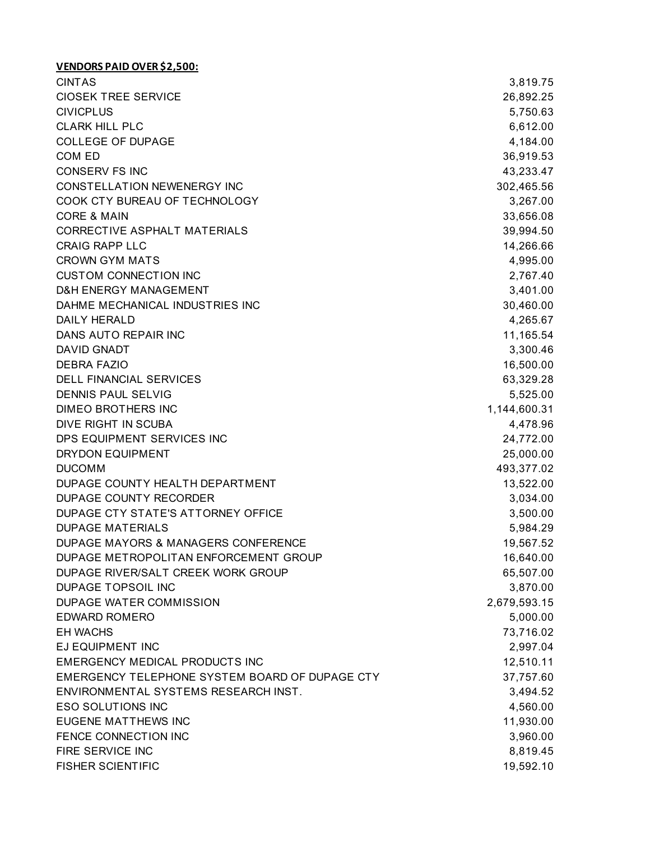| <b>CINTAS</b>                                  | 3,819.75     |
|------------------------------------------------|--------------|
| <b>CIOSEK TREE SERVICE</b>                     | 26,892.25    |
| <b>CIVICPLUS</b>                               | 5,750.63     |
| <b>CLARK HILL PLC</b>                          | 6,612.00     |
| <b>COLLEGE OF DUPAGE</b>                       | 4,184.00     |
| COM ED                                         | 36,919.53    |
| <b>CONSERV FS INC</b>                          | 43,233.47    |
| CONSTELLATION NEWENERGY INC                    | 302,465.56   |
| COOK CTY BUREAU OF TECHNOLOGY                  | 3,267.00     |
| <b>CORE &amp; MAIN</b>                         | 33,656.08    |
| CORRECTIVE ASPHALT MATERIALS                   | 39,994.50    |
| <b>CRAIG RAPP LLC</b>                          | 14,266.66    |
| <b>CROWN GYM MATS</b>                          | 4,995.00     |
| <b>CUSTOM CONNECTION INC</b>                   | 2,767.40     |
| <b>D&amp;H ENERGY MANAGEMENT</b>               | 3,401.00     |
| DAHME MECHANICAL INDUSTRIES INC                | 30,460.00    |
| DAILY HERALD                                   | 4,265.67     |
| DANS AUTO REPAIR INC                           | 11,165.54    |
| <b>DAVID GNADT</b>                             | 3,300.46     |
| <b>DEBRA FAZIO</b>                             | 16,500.00    |
| <b>DELL FINANCIAL SERVICES</b>                 | 63,329.28    |
| <b>DENNIS PAUL SELVIG</b>                      | 5,525.00     |
| DIMEO BROTHERS INC                             | 1,144,600.31 |
| DIVE RIGHT IN SCUBA                            | 4,478.96     |
| DPS EQUIPMENT SERVICES INC                     | 24,772.00    |
| DRYDON EQUIPMENT                               | 25,000.00    |
| <b>DUCOMM</b>                                  | 493,377.02   |
| DUPAGE COUNTY HEALTH DEPARTMENT                | 13,522.00    |
| <b>DUPAGE COUNTY RECORDER</b>                  | 3,034.00     |
| DUPAGE CTY STATE'S ATTORNEY OFFICE             | 3,500.00     |
| <b>DUPAGE MATERIALS</b>                        | 5,984.29     |
| DUPAGE MAYORS & MANAGERS CONFERENCE            | 19,567.52    |
| DUPAGE METROPOLITAN ENFORCEMENT GROUP          | 16,640.00    |
| DUPAGE RIVER/SALT CREEK WORK GROUP             | 65,507.00    |
| DUPAGE TOPSOIL INC                             | 3,870.00     |
| DUPAGE WATER COMMISSION                        | 2,679,593.15 |
| <b>EDWARD ROMERO</b>                           | 5,000.00     |
| <b>EH WACHS</b>                                | 73,716.02    |
| EJ EQUIPMENT INC                               | 2,997.04     |
| <b>EMERGENCY MEDICAL PRODUCTS INC</b>          | 12,510.11    |
| EMERGENCY TELEPHONE SYSTEM BOARD OF DUPAGE CTY | 37,757.60    |
| ENVIRONMENTAL SYSTEMS RESEARCH INST.           | 3,494.52     |
| <b>ESO SOLUTIONS INC</b>                       | 4,560.00     |
| EUGENE MATTHEWS INC                            | 11,930.00    |
| FENCE CONNECTION INC                           | 3,960.00     |
| FIRE SERVICE INC                               | 8,819.45     |
| <b>FISHER SCIENTIFIC</b>                       | 19,592.10    |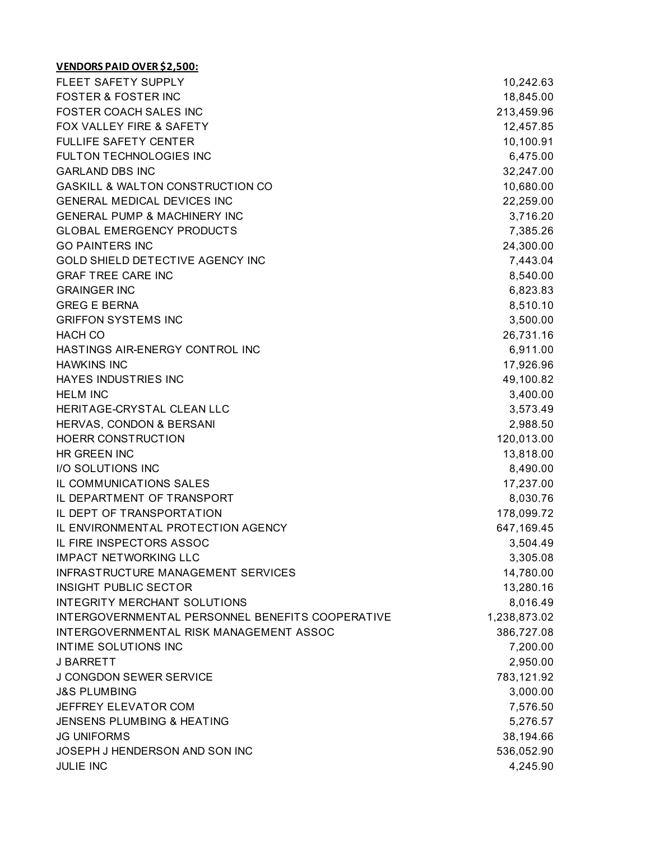# **VENDORS PAID OVER \$2,500:** FLEET SAFETY SUPPLY 10,242.63 FOSTER & FOSTER INC 2008 2009 18,845.00 FOSTER COACH SALES INC 213,459.96 FOX VALLEY FIRE & SAFETY 12,457.85 FULLIFE SAFETY CENTER 10,100.91 FULTON TECHNOLOGIES INC 6.475.00 GARLAND DBS INC 32.247.00 GASKILL & WALTON CONSTRUCTION CO 30 000 10,680.00 GENERAL MEDICAL DEVICES INC 22.259.00 GENERAL PUMP & MACHINERY INC 3.716.20 GLOBAL EMERGENCY PRODUCTS **1999** 7,385.26 GO PAINTERS INC 24,300.00 GOLD SHIELD DETECTIVE AGENCY INC 7,443.04 GRAF TREE CARE INC 8,540.00 GRAINGER INC 6.823.83 GREG E BERNA 8,510.10 GRIFFON SYSTEMS INC 3,500,000 SERIES AND THE SERIES OF STREET AND THE STREET ASSAULT ASSAULT AND STREET AND THE HACH CO 26,731.16 HASTINGS AIR-ENERGY CONTROL INC **6,911.00** 6,911.00 HAWKINS INC 17,926.96 HAYES INDUSTRIES INC 49,100.82  $HELM INC$  3,400.00 HERITAGE-CRYSTAL CLEAN LLC 3,573.49 HERVAS, CONDON & BERSANI 2,988.50 HOERR CONSTRUCTION 120,013.00 HR GREEN INC 13,818.00 I/O SOLUTIONS INC 8,490.00 IL COMMUNICATIONS SALES 17,237.00 IL DEPARTMENT OF TRANSPORT AND RESERVE THE SERVE OF SUCH A SUBSEX 8,030.76 IL DEPT OF TRANSPORTATION 178,099.72 IL ENVIRONMENTAL PROTECTION AGENCY **647,169.45** IL FIRE INSPECTORS ASSOC 3,504.49 IMPACT NETWORKING LLC 3,305.08 INFRASTRUCTURE MANAGEMENT SERVICES 14,780.00 INSIGHT PUBLIC SECTOR 13,280.16 INTEGRITY MERCHANT SOLUTIONS 8,016.49 INTERGOVERNMENTAL PERSONNEL BENEFITS COOPERATIVE 1.238,873.02 INTERGOVERNMENTAL RISK MANAGEMENT ASSOC 386,727.08 INTIME SOLUTIONS INC **7.200.00** J BARRETT 2,950.00 J CONGDON SEWER SERVICE **All and the USA CONGRESS CONGLES** 783,121.92 J&S PLUMBING 3,000.00 JEFFREY ELEVATOR COM 7,576.50 JENSENS PLUMBING & HEATING 5,276.57 JG UNIFORMS 38,194.66 JOSEPH J HENDERSON AND SON INC 536,052.90 JULIE INC  $\qquad \qquad 4,245.90$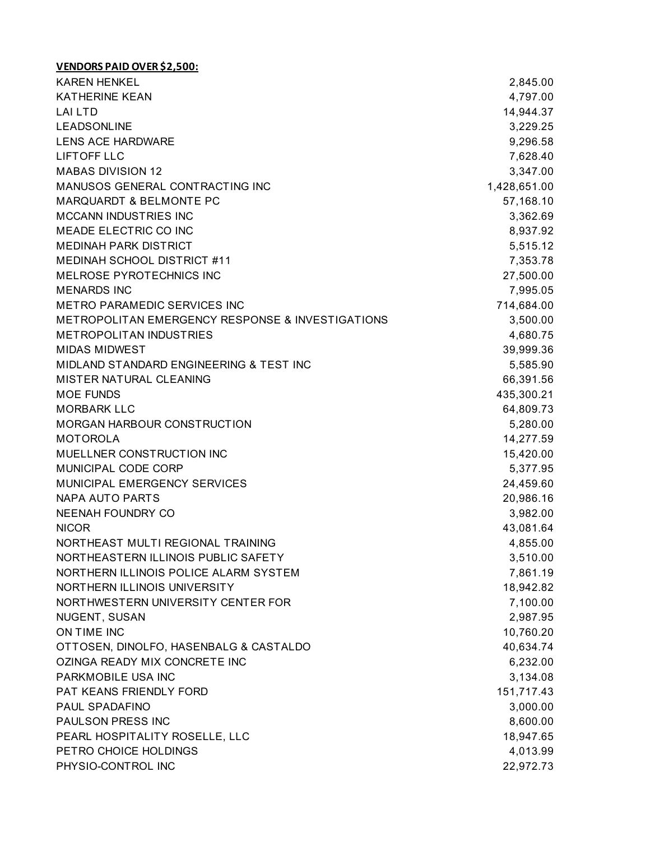| <b>KAREN HENKEL</b>                              | 2,845.00     |
|--------------------------------------------------|--------------|
| <b>KATHERINE KEAN</b>                            | 4,797.00     |
| LAI LTD                                          | 14,944.37    |
| <b>LEADSONLINE</b>                               | 3,229.25     |
| <b>LENS ACE HARDWARE</b>                         | 9,296.58     |
| <b>LIFTOFF LLC</b>                               | 7,628.40     |
| <b>MABAS DIVISION 12</b>                         | 3,347.00     |
| MANUSOS GENERAL CONTRACTING INC                  | 1,428,651.00 |
| <b>MARQUARDT &amp; BELMONTE PC</b>               | 57,168.10    |
| <b>MCCANN INDUSTRIES INC</b>                     | 3,362.69     |
| MEADE ELECTRIC CO INC                            | 8,937.92     |
| <b>MEDINAH PARK DISTRICT</b>                     | 5,515.12     |
| MEDINAH SCHOOL DISTRICT #11                      | 7,353.78     |
| MELROSE PYROTECHNICS INC                         | 27,500.00    |
| <b>MENARDS INC</b>                               | 7,995.05     |
| <b>METRO PARAMEDIC SERVICES INC</b>              | 714,684.00   |
| METROPOLITAN EMERGENCY RESPONSE & INVESTIGATIONS | 3,500.00     |
| <b>METROPOLITAN INDUSTRIES</b>                   | 4,680.75     |
| <b>MIDAS MIDWEST</b>                             | 39,999.36    |
| MIDLAND STANDARD ENGINEERING & TEST INC          | 5,585.90     |
| MISTER NATURAL CLEANING                          | 66,391.56    |
| <b>MOE FUNDS</b>                                 | 435,300.21   |
| <b>MORBARK LLC</b>                               | 64,809.73    |
| MORGAN HARBOUR CONSTRUCTION                      | 5,280.00     |
| <b>MOTOROLA</b>                                  | 14,277.59    |
| MUELLNER CONSTRUCTION INC                        | 15,420.00    |
| MUNICIPAL CODE CORP                              | 5,377.95     |
| MUNICIPAL EMERGENCY SERVICES                     | 24,459.60    |
| <b>NAPA AUTO PARTS</b>                           | 20,986.16    |
| NEENAH FOUNDRY CO                                | 3,982.00     |
| <b>NICOR</b>                                     | 43,081.64    |
| NORTHEAST MULTI REGIONAL TRAINING                | 4,855.00     |
| NORTHEASTERN ILLINOIS PUBLIC SAFETY              | 3,510.00     |
| NORTHERN ILLINOIS POLICE ALARM SYSTEM            | 7,861.19     |
| NORTHERN ILLINOIS UNIVERSITY                     | 18,942.82    |
| NORTHWESTERN UNIVERSITY CENTER FOR               | 7,100.00     |
| NUGENT, SUSAN                                    | 2,987.95     |
| ON TIME INC                                      | 10,760.20    |
| OTTOSEN, DINOLFO, HASENBALG & CASTALDO           | 40,634.74    |
| OZINGA READY MIX CONCRETE INC                    | 6,232.00     |
| PARKMOBILE USA INC                               | 3,134.08     |
| PAT KEANS FRIENDLY FORD                          | 151,717.43   |
| PAUL SPADAFINO                                   | 3,000.00     |
| PAULSON PRESS INC                                | 8,600.00     |
| PEARL HOSPITALITY ROSELLE, LLC                   | 18,947.65    |
| PETRO CHOICE HOLDINGS                            | 4,013.99     |
| PHYSIO-CONTROL INC                               | 22,972.73    |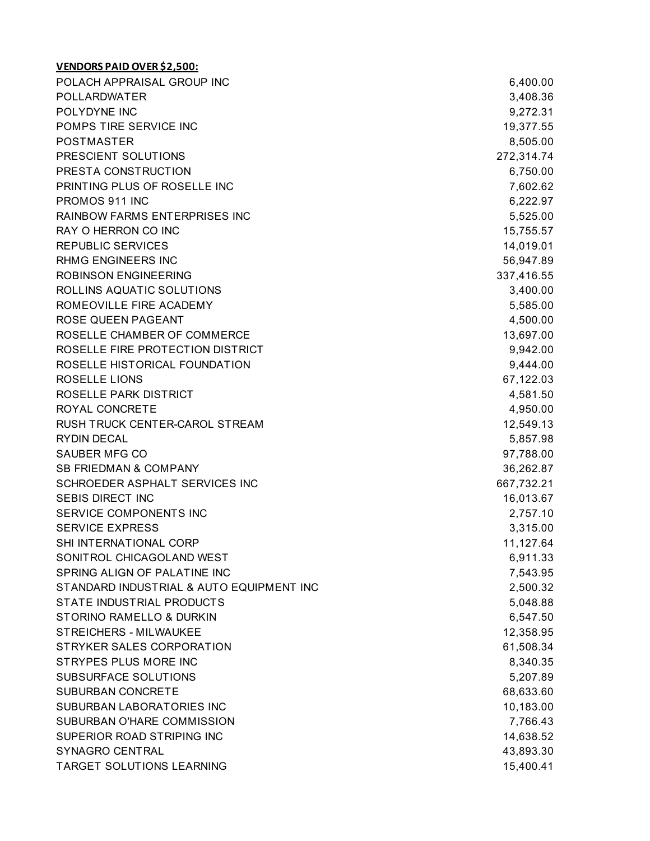| POLACH APPRAISAL GROUP INC               | 6,400.00   |
|------------------------------------------|------------|
| POLLARDWATER                             | 3,408.36   |
| POLYDYNE INC                             | 9,272.31   |
| POMPS TIRE SERVICE INC                   | 19,377.55  |
| <b>POSTMASTER</b>                        | 8,505.00   |
| PRESCIENT SOLUTIONS                      | 272,314.74 |
| PRESTA CONSTRUCTION                      | 6,750.00   |
| PRINTING PLUS OF ROSELLE INC             | 7,602.62   |
| PROMOS 911 INC                           | 6,222.97   |
| RAINBOW FARMS ENTERPRISES INC            | 5,525.00   |
| RAY O HERRON CO INC                      | 15,755.57  |
| <b>REPUBLIC SERVICES</b>                 | 14,019.01  |
| <b>RHMG ENGINEERS INC</b>                | 56,947.89  |
| <b>ROBINSON ENGINEERING</b>              | 337,416.55 |
| ROLLINS AQUATIC SOLUTIONS                | 3,400.00   |
| ROMEOVILLE FIRE ACADEMY                  | 5,585.00   |
| ROSE QUEEN PAGEANT                       | 4,500.00   |
| ROSELLE CHAMBER OF COMMERCE              | 13,697.00  |
| ROSELLE FIRE PROTECTION DISTRICT         | 9,942.00   |
| ROSELLE HISTORICAL FOUNDATION            | 9,444.00   |
| ROSELLE LIONS                            | 67,122.03  |
| ROSELLE PARK DISTRICT                    | 4,581.50   |
| ROYAL CONCRETE                           | 4,950.00   |
| RUSH TRUCK CENTER-CAROL STREAM           | 12,549.13  |
| <b>RYDIN DECAL</b>                       | 5,857.98   |
| <b>SAUBER MFG CO</b>                     | 97,788.00  |
| <b>SB FRIEDMAN &amp; COMPANY</b>         | 36,262.87  |
| SCHROEDER ASPHALT SERVICES INC           | 667,732.21 |
| <b>SEBIS DIRECT INC</b>                  | 16,013.67  |
| SERVICE COMPONENTS INC                   | 2,757.10   |
| <b>SERVICE EXPRESS</b>                   | 3,315.00   |
| SHI INTERNATIONAL CORP                   | 11,127.64  |
| SONITROL CHICAGOLAND WEST                | 6,911.33   |
| SPRING ALIGN OF PALATINE INC             | 7,543.95   |
| STANDARD INDUSTRIAL & AUTO EQUIPMENT INC | 2,500.32   |
| STATE INDUSTRIAL PRODUCTS                | 5,048.88   |
| STORINO RAMELLO & DURKIN                 | 6,547.50   |
| <b>STREICHERS - MILWAUKEE</b>            | 12,358.95  |
| STRYKER SALES CORPORATION                | 61,508.34  |
| STRYPES PLUS MORE INC                    | 8,340.35   |
| SUBSURFACE SOLUTIONS                     | 5,207.89   |
| <b>SUBURBAN CONCRETE</b>                 | 68,633.60  |
| SUBURBAN LABORATORIES INC                | 10,183.00  |
| SUBURBAN O'HARE COMMISSION               | 7,766.43   |
| SUPERIOR ROAD STRIPING INC               | 14,638.52  |
| SYNAGRO CENTRAL                          | 43,893.30  |
| TARGET SOLUTIONS LEARNING                | 15,400.41  |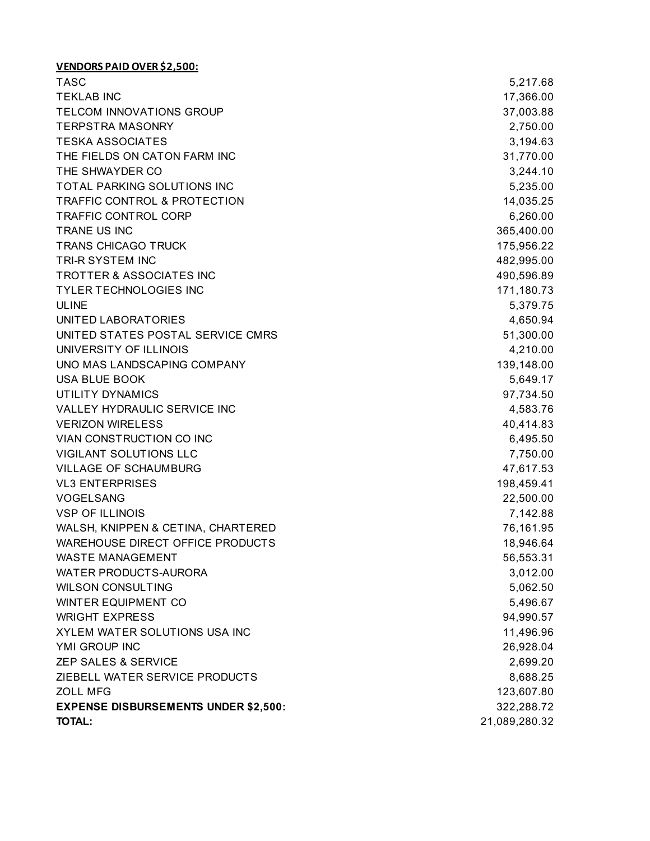| TASC                                        | 5,217.68      |
|---------------------------------------------|---------------|
| <b>TEKLAB INC</b>                           | 17,366.00     |
| TELCOM INNOVATIONS GROUP                    | 37,003.88     |
| <b>TERPSTRA MASONRY</b>                     | 2,750.00      |
| <b>TESKA ASSOCIATES</b>                     | 3,194.63      |
| THE FIELDS ON CATON FARM INC                | 31,770.00     |
| THE SHWAYDER CO                             | 3,244.10      |
| TOTAL PARKING SOLUTIONS INC                 | 5,235.00      |
| <b>TRAFFIC CONTROL &amp; PROTECTION</b>     | 14,035.25     |
| <b>TRAFFIC CONTROL CORP</b>                 | 6,260.00      |
| TRANE US INC                                | 365,400.00    |
| <b>TRANS CHICAGO TRUCK</b>                  | 175,956.22    |
| TRI-R SYSTEM INC                            | 482,995.00    |
| TROTTER & ASSOCIATES INC                    | 490,596.89    |
| <b>TYLER TECHNOLOGIES INC</b>               | 171,180.73    |
| <b>ULINE</b>                                | 5,379.75      |
| UNITED LABORATORIES                         | 4,650.94      |
| UNITED STATES POSTAL SERVICE CMRS           | 51,300.00     |
| UNIVERSITY OF ILLINOIS                      | 4,210.00      |
| UNO MAS LANDSCAPING COMPANY                 | 139,148.00    |
| <b>USA BLUE BOOK</b>                        | 5,649.17      |
| <b>UTILITY DYNAMICS</b>                     | 97,734.50     |
| VALLEY HYDRAULIC SERVICE INC                | 4,583.76      |
| <b>VERIZON WIRELESS</b>                     | 40,414.83     |
| VIAN CONSTRUCTION CO INC                    | 6,495.50      |
| VIGILANT SOLUTIONS LLC                      | 7,750.00      |
| <b>VILLAGE OF SCHAUMBURG</b>                | 47,617.53     |
| <b>VL3 ENTERPRISES</b>                      | 198,459.41    |
| VOGELSANG                                   | 22,500.00     |
| <b>VSP OF ILLINOIS</b>                      | 7,142.88      |
| WALSH, KNIPPEN & CETINA, CHARTERED          | 76,161.95     |
| WAREHOUSE DIRECT OFFICE PRODUCTS            | 18,946.64     |
| <b>WASTE MANAGEMENT</b>                     | 56,553.31     |
| WATER PRODUCTS-AURORA                       | 3,012.00      |
| <b>WILSON CONSULTING</b>                    | 5,062.50      |
| <b>WINTER EQUIPMENT CO</b>                  | 5,496.67      |
| <b>WRIGHT EXPRESS</b>                       | 94,990.57     |
| XYLEM WATER SOLUTIONS USA INC               | 11,496.96     |
| YMI GROUP INC                               | 26,928.04     |
| ZEP SALES & SERVICE                         | 2,699.20      |
| ZIEBELL WATER SERVICE PRODUCTS              | 8,688.25      |
| <b>ZOLL MFG</b>                             | 123,607.80    |
| <b>EXPENSE DISBURSEMENTS UNDER \$2,500:</b> | 322,288.72    |
| <b>TOTAL:</b>                               | 21,089,280.32 |